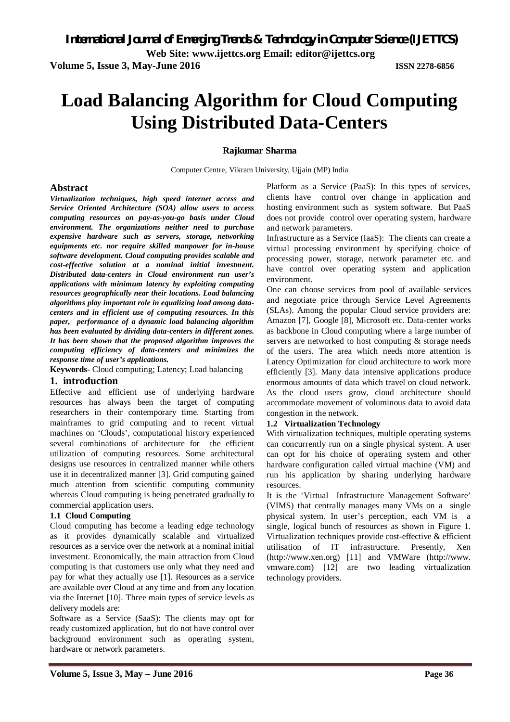**Web Site: www.ijettcs.org Email: editor@ijettcs.org** 

**Volume 5, Issue 3, May-June 2016 ISSN 2278-6856**

# **Load Balancing Algorithm for Cloud Computing Using Distributed Data-Centers**

# **Rajkumar Sharma**

Computer Centre, Vikram University, Ujjain (MP) India

# **Abstract**

*Virtualization techniques, high speed internet access and Service Oriented Architecture (SOA) allow users to access computing resources on pay-as-you-go basis under Cloud environment. The organizations neither need to purchase expensive hardware such as servers, storage, networking equipments etc. nor require skilled manpower for in-house software development. Cloud computing provides scalable and cost-effective solution at a nominal initial investment. Distributed data-centers in Cloud environment run user's applications with minimum latency by exploiting computing resources geographically near their locations. Load balancing algorithms play important role in equalizing load among datacenters and in efficient use of computing resources. In this paper, performance of a dynamic load balancing algorithm has been evaluated by dividing data-centers in different zones. It has been shown that the proposed algorithm improves the computing efficiency of data-centers and minimizes the response time of user's applications.*

**Keywords-** Cloud computing; Latency; Load balancing

### **1. introduction**

Effective and efficient use of underlying hardware resources has always been the target of computing researchers in their contemporary time. Starting from mainframes to grid computing and to recent virtual machines on 'Clouds', computational history experienced several combinations of architecture for the efficient utilization of computing resources. Some architectural designs use resources in centralized manner while others use it in decentralized manner [3]. Grid computing gained much attention from scientific computing community whereas Cloud computing is being penetrated gradually to commercial application users.

### **1.1 Cloud Computing**

Cloud computing has become a leading edge technology as it provides dynamically scalable and virtualized resources as a service over the network at a nominal initial investment. Economically, the main attraction from Cloud computing is that customers use only what they need and pay for what they actually use [1]. Resources as a service are available over Cloud at any time and from any location via the Internet [10]. Three main types of service levels as delivery models are:

Software as a Service (SaaS): The clients may opt for ready customized application, but do not have control over background environment such as operating system, hardware or network parameters.

Platform as a Service (PaaS): In this types of services, clients have control over change in application and hosting environment such as system software. But PaaS does not provide control over operating system, hardware and network parameters.

Infrastructure as a Service (IaaS): The clients can create a virtual processing environment by specifying choice of processing power, storage, network parameter etc. and have control over operating system and application environment.

One can choose services from pool of available services and negotiate price through Service Level Agreements (SLAs). Among the popular Cloud service providers are: Amazon [7], Google [8], Microsoft etc. Data-center works as backbone in Cloud computing where a large number of servers are networked to host computing & storage needs of the users. The area which needs more attention is Latency Optimization for cloud architecture to work more efficiently [3]. Many data intensive applications produce enormous amounts of data which travel on cloud network. As the cloud users grow, cloud architecture should accommodate movement of voluminous data to avoid data congestion in the network.

### **1.2 Virtualization Technology**

With virtualization techniques, multiple operating systems can concurrently run on a single physical system. A user can opt for his choice of operating system and other hardware configuration called virtual machine (VM) and run his application by sharing underlying hardware resources.

It is the 'Virtual Infrastructure Management Software' (VIMS) that centrally manages many VMs on a single physical system. In user's perception, each VM is a single, logical bunch of resources as shown in Figure 1. Virtualization techniques provide cost-effective & efficient utilisation of IT infrastructure. Presently, Xen (http://www.xen.org) [11] and VMWare (http://www. vmware.com) [12] are two leading virtualization technology providers.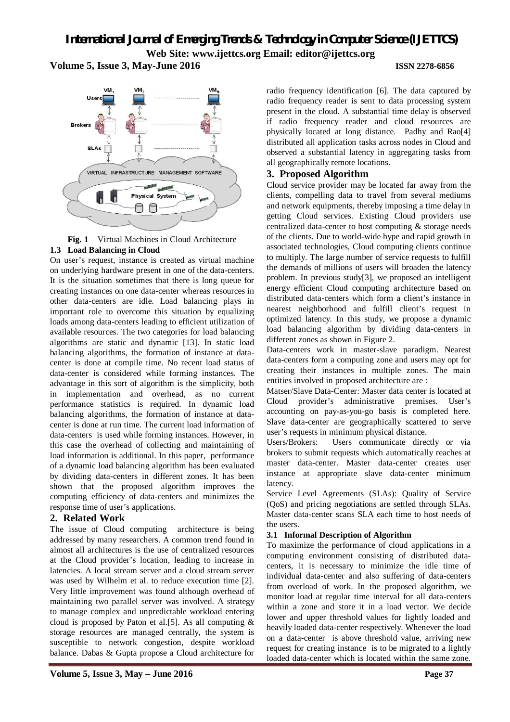**Volume 5, Issue 3, May-June 2016 ISSN 2278-6856**





On user's request, instance is created as virtual machine on underlying hardware present in one of the data-centers. It is the situation sometimes that there is long queue for creating instances on one data-center whereas resources in other data-centers are idle. Load balancing plays in important role to overcome this situation by equalizing loads among data-centers leading to efficient utilization of available resources. The two categories for load balancing algorithms are static and dynamic [13]. In static load balancing algorithms, the formation of instance at datacenter is done at compile time. No recent load status of data-center is considered while forming instances. The advantage in this sort of algorithm is the simplicity, both in implementation and overhead, as no current performance statistics is required. In dynamic load balancing algorithms, the formation of instance at datacenter is done at run time. The current load information of data-centers is used while forming instances. However, in this case the overhead of collecting and maintaining of load information is additional. In this paper, performance of a dynamic load balancing algorithm has been evaluated by dividing data-centers in different zones. It has been shown that the proposed algorithm improves the computing efficiency of data-centers and minimizes the response time of user's applications.

### **2. Related Work**

The issue of Cloud computing architecture is being addressed by many researchers. A common trend found in almost all architectures is the use of centralized resources at the Cloud provider's location, leading to increase in latencies. A local stream server and a cloud stream server was used by Wilhelm et al. to reduce execution time [2]. Very little improvement was found although overhead of maintaining two parallel server was involved. A strategy to manage complex and unpredictable workload entering cloud is proposed by Paton et al. [5]. As all computing  $\&$ storage resources are managed centrally, the system is susceptible to network congestion, despite workload balance. Dabas & Gupta propose a Cloud architecture for

radio frequency identification [6]. The data captured by radio frequency reader is sent to data processing system present in the cloud. A substantial time delay is observed if radio frequency reader and cloud resources are physically located at long distance. Padhy and Rao[4] distributed all application tasks across nodes in Cloud and observed a substantial latency in aggregating tasks from all geographically remote locations.

# **3. Proposed Algorithm**

Cloud service provider may be located far away from the clients, compelling data to travel from several mediums and network equipments, thereby imposing a time delay in getting Cloud services. Existing Cloud providers use centralized data-center to host computing & storage needs of the clients. Due to world-wide hype and rapid growth in associated technologies, Cloud computing clients continue to multiply. The large number of service requests to fulfill the demands of millions of users will broaden the latency problem. In previous study[3], we proposed an intelligent energy efficient Cloud computing architecture based on distributed data-centers which form a client's instance in nearest neighborhood and fulfill client's request in optimized latency. In this study, we propose a dynamic load balancing algorithm by dividing data-centers in different zones as shown in Figure 2.

Data-centers work in master-slave paradigm. Nearest data-centers form a computing zone and users may opt for creating their instances in multiple zones. The main entities involved in proposed architecture are :

Matser/Slave Data-Center: Master data center is located at Cloud provider's administrative premises. User's accounting on pay-as-you-go basis is completed here. Slave data-center are geographically scattered to serve user's requests in minimum physical distance.

Users/Brokers: Users communicate directly or via brokers to submit requests which automatically reaches at master data-center. Master data-center creates user instance at appropriate slave data-center minimum latency.

Service Level Agreements (SLAs): Quality of Service (QoS) and pricing negotiations are settled through SLAs. Master data-center scans SLA each time to host needs of the users.

### **3.1 Informal Description of Algorithm**

To maximize the performance of cloud applications in a computing environment consisting of distributed datacenters, it is necessary to minimize the idle time of individual data-center and also suffering of data-centers from overload of work. In the proposed algorithm, we monitor load at regular time interval for all data-centers within a zone and store it in a load vector. We decide lower and upper threshold values for lightly loaded and heavily loaded data-center respectively. Whenever the load on a data-center is above threshold value, arriving new request for creating instance is to be migrated to a lightly loaded data-center which is located within the same zone.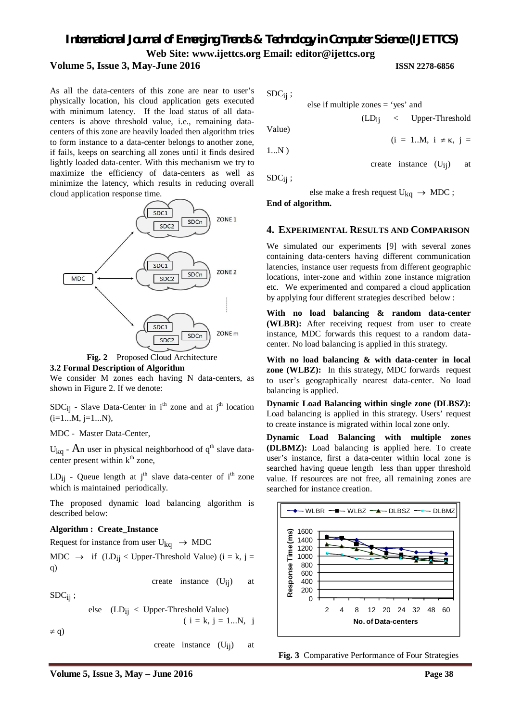#### **Volume 5, Issue 3, May-June 2016 ISSN 2278-6856**

As all the data-centers of this zone are near to user's physically location, his cloud application gets executed with minimum latency. If the load status of all datacenters is above threshold value, i.e., remaining datacenters of this zone are heavily loaded then algorithm tries to form instance to a data-center belongs to another zone, if fails, keeps on searching all zones until it finds desired lightly loaded data-center. With this mechanism we try to maximize the efficiency of data-centers as well as minimize the latency, which results in reducing overall cloud application response time.





#### **3.2 Formal Description of Algorithm**

We consider M zones each having N data-centers, as shown in Figure 2. If we denote:

 $SDC_{ij}$  - Slave Data-Center in i<sup>th</sup> zone and at j<sup>th</sup> location  $(i=1...M, i=1...N)$ ,

MDC - Master Data-Center,

U<sub>kq</sub> - An user in physical neighborhood of  $q<sup>th</sup>$  slave datacenter present within  $k<sup>th</sup>$  zone,

LD<sub>ij</sub> - Queue length at j<sup>th</sup> slave data-center of i<sup>th</sup> zone which is maintained periodically.

The proposed dynamic load balancing algorithm is described below:

#### **Algorithm : Create\_Instance**

Request for instance from user  $U_{kq} \rightarrow MDC$ 

MDC  $\rightarrow$  if (LD<sub>ij</sub> < Upper-Threshold Value) (i = k, j = q)

 $SDC<sub>ii</sub>$ ;

else 
$$
(LD_{ij} < Upper-Threshold Value)
$$
  
\n $(i = k, j = 1...N, j \neq q)$ 

create instance  $(U_{ii})$  at

create instance  $(U_{ii})$  at

 $SDC_{ii}$ ;

else if multiple zones = 'yes' and

Value)

$$
\begin{pmatrix} 1 & \mathbf{N} \end{pmatrix}
$$

$$
1...N)
$$

 $SDC<sub>ij</sub>$ ;

else make a fresh request  $U_{kq} \rightarrow MDC$ ;

**End of algorithm.**

### **4. EXPERIMENTAL RESULTS AND COMPARISON**

We simulated our experiments [9] with several zones containing data-centers having different communication latencies, instance user requests from different geographic locations, inter-zone and within zone instance migration etc. We experimented and compared a cloud application by applying four different strategies described below :

**With no load balancing & random data-center (WLBR):** After receiving request from user to create instance, MDC forwards this request to a random datacenter. No load balancing is applied in this strategy.

**With no load balancing & with data-center in local zone (WLBZ):** In this strategy, MDC forwards request to user's geographically nearest data-center. No load balancing is applied.

**Dynamic Load Balancing within single zone (DLBSZ):** Load balancing is applied in this strategy. Users' request to create instance is migrated within local zone only.

**Dynamic Load Balancing with multiple zones (DLBMZ):** Load balancing is applied here. To create user's instance, first a data-center within local zone is searched having queue length less than upper threshold value. If resources are not free, all remaining zones are searched for instance creation.



**Fig. 3** Comparative Performance of Four Strategies

(LDij < Upper-Threshold

create instance  $(U_{ij})$  at

 $(i = 1..M, i \neq \kappa, j =$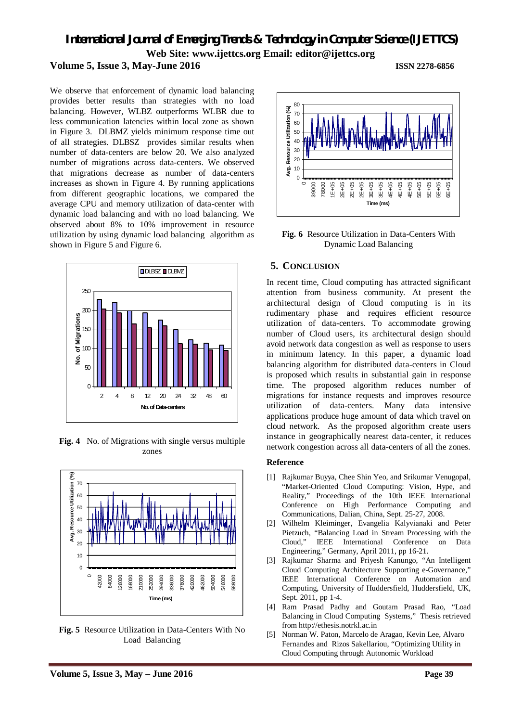# **Volume 5, Issue 3, May-June 2016 ISSN 2278-6856**

We observe that enforcement of dynamic load balancing provides better results than strategies with no load balancing. However, WLBZ outperforms WLBR due to less communication latencies within local zone as shown in Figure 3. DLBMZ yields minimum response time out of all strategies. DLBSZ provides similar results when number of data-centers are below 20. We also analyzed number of migrations across data-centers. We observed that migrations decrease as number of data-centers increases as shown in Figure 4. By running applications from different geographic locations, we compared the average CPU and memory utilization of data-center with dynamic load balancing and with no load balancing. We observed about 8% to 10% improvement in resource utilization by using dynamic load balancing algorithm as shown in Figure 5 and Figure 6.



**Fig. 4** No. of Migrations with single versus multiple zones



**Fig. 5** Resource Utilization in Data-Centers With No Load Balancing



**Fig. 6** Resource Utilization in Data-Centers With Dynamic Load Balancing

#### **5. CONCLUSION**

In recent time, Cloud computing has attracted significant attention from business community. At present the architectural design of Cloud computing is in its rudimentary phase and requires efficient resource utilization of data-centers. To accommodate growing number of Cloud users, its architectural design should avoid network data congestion as well as response to users in minimum latency. In this paper, a dynamic load balancing algorithm for distributed data-centers in Cloud is proposed which results in substantial gain in response time. The proposed algorithm reduces number of migrations for instance requests and improves resource utilization of data-centers. Many data intensive applications produce huge amount of data which travel on cloud network. As the proposed algorithm create users instance in geographically nearest data-center, it reduces network congestion across all data-centers of all the zones.

#### **Reference**

- [1] Rajkumar Buyya, Chee Shin Yeo, and Srikumar Venugopal, "Market-Oriented Cloud Computing: Vision, Hype, and Reality," Proceedings of the 10th IEEE International Conference on High Performance Computing and Communications, Dalian, China, Sept. 25-27, 2008.
- [2] Wilhelm Kleiminger, Evangelia Kalyvianaki and Peter Pietzuch, "Balancing Load in Stream Processing with the Cloud," IEEE International Conference on Data Engineering," Germany, April 2011, pp 16-21.
- [3] Rajkumar Sharma and Priyesh Kanungo, "An Intelligent Cloud Computing Architecture Supporting e-Governance," IEEE International Conference on Automation and Computing, University of Huddersfield, Huddersfield, UK, Sept. 2011, pp 1-4.
- [4] Ram Prasad Padhy and Goutam Prasad Rao, "Load Balancing in Cloud Computing Systems," Thesis retrieved from http://ethesis.notrkl.ac.in
- [5] Norman W. Paton, Marcelo de Aragao, Kevin Lee, Alvaro Fernandes and Rizos Sakellariou, "Optimizing Utility in Cloud Computing through Autonomic Workload